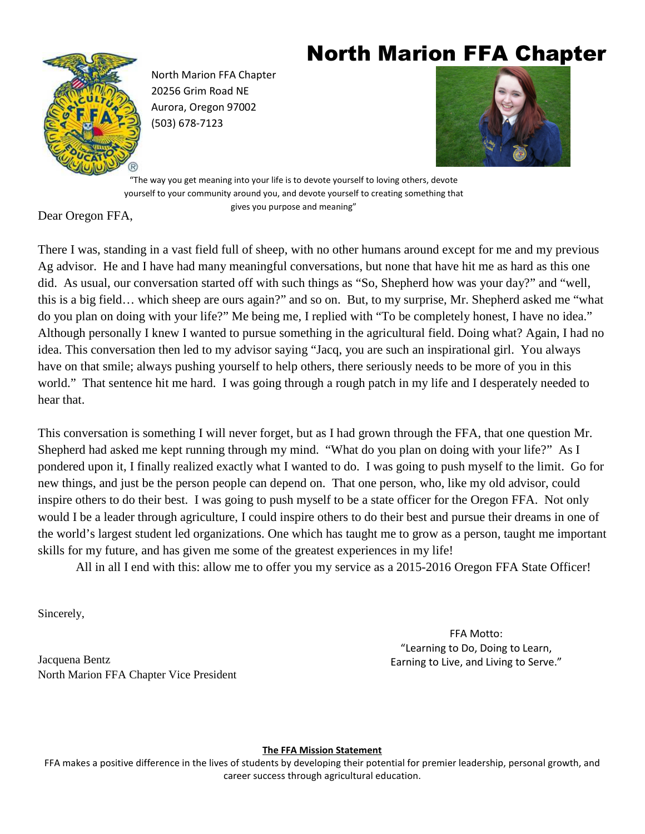# North Marion FFA Chapter



North Marion FFA Chapter 20256 Grim Road NE Aurora, Oregon 97002 (503) 678-7123



"The way you get meaning into your life is to devote yourself to loving others, devote yourself to your community around you, and devote yourself to creating something that gives you purpose and meaning"

Dear Oregon FFA,

There I was, standing in a vast field full of sheep, with no other humans around except for me and my previous Ag advisor. He and I have had many meaningful conversations, but none that have hit me as hard as this one did. As usual, our conversation started off with such things as "So, Shepherd how was your day?" and "well, this is a big field… which sheep are ours again?" and so on. But, to my surprise, Mr. Shepherd asked me "what do you plan on doing with your life?" Me being me, I replied with "To be completely honest, I have no idea." Although personally I knew I wanted to pursue something in the agricultural field. Doing what? Again, I had no idea. This conversation then led to my advisor saying "Jacq, you are such an inspirational girl. You always have on that smile; always pushing yourself to help others, there seriously needs to be more of you in this world." That sentence hit me hard. I was going through a rough patch in my life and I desperately needed to hear that.

This conversation is something I will never forget, but as I had grown through the FFA, that one question Mr. Shepherd had asked me kept running through my mind. "What do you plan on doing with your life?" As I pondered upon it, I finally realized exactly what I wanted to do. I was going to push myself to the limit. Go for new things, and just be the person people can depend on. That one person, who, like my old advisor, could inspire others to do their best. I was going to push myself to be a state officer for the Oregon FFA. Not only would I be a leader through agriculture, I could inspire others to do their best and pursue their dreams in one of the world's largest student led organizations. One which has taught me to grow as a person, taught me important skills for my future, and has given me some of the greatest experiences in my life!

All in all I end with this: allow me to offer you my service as a 2015-2016 Oregon FFA State Officer!

Sincerely,

Jacquena Bentz North Marion FFA Chapter Vice President

FFA Motto: "Learning to Do, Doing to Learn, Earning to Live, and Living to Serve."

**The FFA Mission Statement** 

FFA makes a positive difference in the lives of students by developing their potential for premier leadership, personal growth, and career success through agricultural education.